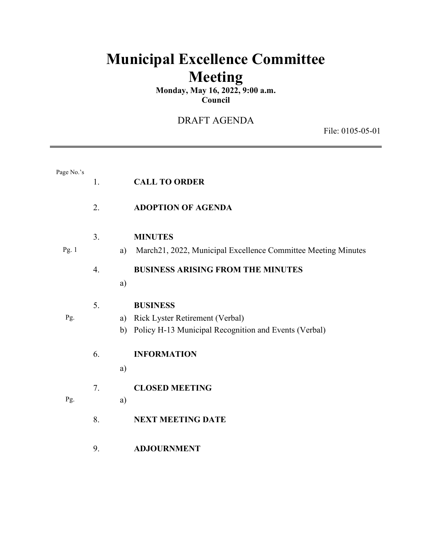# **Municipal Excellence Committee Meeting**

**Monday, May 16, 2022, 9:00 a.m. Council**

# DRAFT AGENDA

File: 0105-05-01

| Page No.'s | 1.               |    | <b>CALL TO ORDER</b>                                          |
|------------|------------------|----|---------------------------------------------------------------|
|            | 2.               |    | <b>ADOPTION OF AGENDA</b>                                     |
|            | 3.               |    | <b>MINUTES</b>                                                |
| Pg. 1      |                  | a) | March21, 2022, Municipal Excellence Committee Meeting Minutes |
|            | $\overline{4}$ . |    | <b>BUSINESS ARISING FROM THE MINUTES</b>                      |
|            |                  | a) |                                                               |
|            | 5.               |    | <b>BUSINESS</b>                                               |
| Pg.        |                  | a) | Rick Lyster Retirement (Verbal)                               |
|            |                  | b) | Policy H-13 Municipal Recognition and Events (Verbal)         |
|            | 6.               |    | <b>INFORMATION</b>                                            |
|            |                  | a) |                                                               |
|            | 7.               |    | <b>CLOSED MEETING</b>                                         |
| Pg.        |                  | a) |                                                               |
|            | 8.               |    | <b>NEXT MEETING DATE</b>                                      |
|            | 9.               |    | <b>ADJOURNMENT</b>                                            |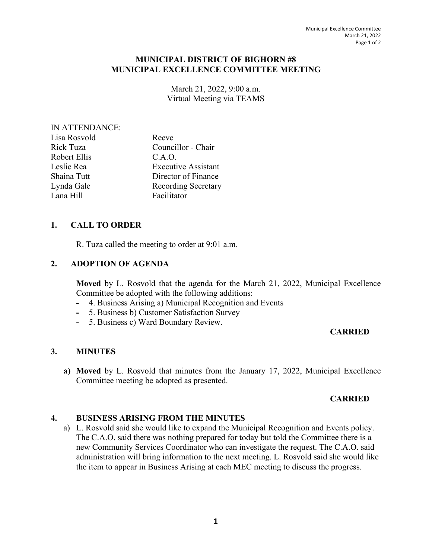#### **MUNICIPAL DISTRICT OF BIGHORN #8 MUNICIPAL EXCELLENCE COMMITTEE MEETING**

March 21, 2022, 9:00 a.m. Virtual Meeting via TEAMS

#### IN ATTENDANCE:

| Lisa Rosvold | Reeve                      |
|--------------|----------------------------|
| Rick Tuza    | Councillor - Chair         |
| Robert Ellis | C.A.O.                     |
| Leslie Rea   | <b>Executive Assistant</b> |
| Shaina Tutt  | Director of Finance        |
| Lynda Gale   | Recording Secretary        |
| Lana Hill    | Facilitator                |
|              |                            |

### **1. CALL TO ORDER**

R. Tuza called the meeting to order at 9:01 a.m.

#### **2. ADOPTION OF AGENDA**

**Moved** by L. Rosvold that the agenda for the March 21, 2022, Municipal Excellence Committee be adopted with the following additions:

- **-** 4. Business Arising a) Municipal Recognition and Events
- **-** 5. Business b) Customer Satisfaction Survey
- **-** 5. Business c) Ward Boundary Review.

### **CARRIED**

#### **3. MINUTES**

**a) Moved** by L. Rosvold that minutes from the January 17, 2022, Municipal Excellence Committee meeting be adopted as presented.

### **CARRIED**

#### **4. BUSINESS ARISING FROM THE MINUTES**

a) L. Rosvold said she would like to expand the Municipal Recognition and Events policy. The C.A.O. said there was nothing prepared for today but told the Committee there is a new Community Services Coordinator who can investigate the request. The C.A.O. said administration will bring information to the next meeting. L. Rosvold said she would like the item to appear in Business Arising at each MEC meeting to discuss the progress.